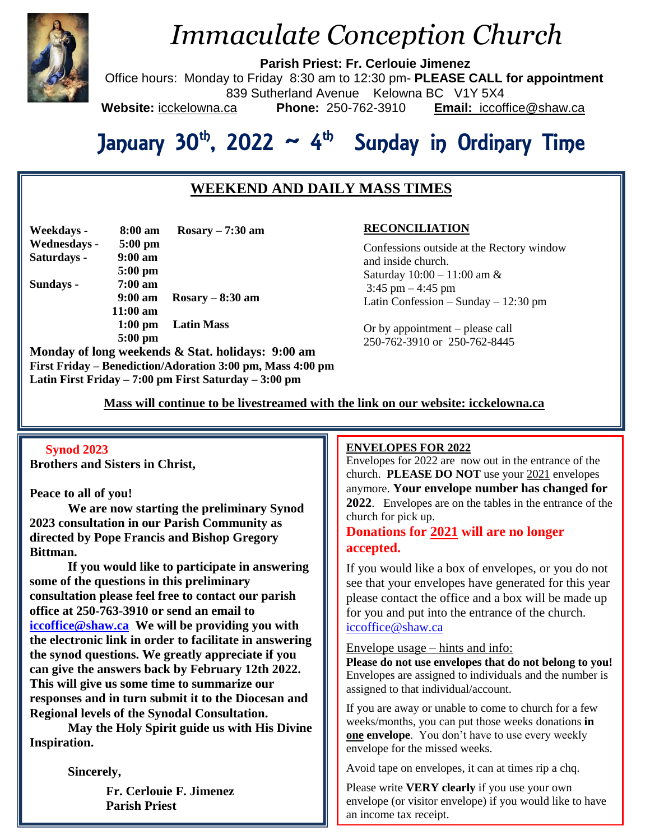

## *Immaculate Conception Church*

**Parish Priest: Fr. Cerlouie Jimenez**

Office hours: Monday to Friday 8:30 am to 12:30 pm- **PLEASE CALL for appointment** 839 Sutherland Avenue Kelowna BC V1Y 5X4 **Website:** icckelowna.ca **Phone:** 250-762-3910 **Email:** iccoffice@shaw.ca

# January 30<sup>th</sup>, 2022 ~ 4<sup>th</sup> Sunday in Ordinary Time

## **WEEKEND AND DAILY MASS TIMES**

| Weekdays -   | 8:00 am           | $Rosary - 7:30$ am |
|--------------|-------------------|--------------------|
| Wednesdays - | $5:00$ pm         |                    |
| Saturdays -  | $9:00$ am         |                    |
|              | $5:00$ pm         |                    |
| Sundays -    | $7:00 \text{ am}$ |                    |
|              | $9:00 \text{ am}$ | $Rosary - 8:30$ am |
|              | $11:00$ am        |                    |
|              | $1:00 \text{ pm}$ | <b>Latin Mass</b>  |
|              | $5:00$ pm         |                    |
|              |                   | 10 Q J J J         |

**Monday of long weekends & Stat. holidays: 9:00 am First Friday – Benediction/Adoration 3:00 pm, Mass 4:00 pm Latin First Friday – 7:00 pm First Saturday – 3:00 pm** 

### **RECONCILIATION**

Confessions outside at the Rectory window and inside church. Saturday 10:00 – 11:00 am & 3:45 pm  $-4:45$  pm Latin Confession – Sunday – 12:30 pm

Or by appointment – please call 250-762-3910 or 250-762-8445

 **Mass will continue to be livestreamed with the link on our website: icckelowna.ca**

#### **Synod 2023**

**Brothers and Sisters in Christ,**

#### **Peace to all of you!**

**We are now starting the preliminary Synod 2023 consultation in our Parish Community as directed by Pope Francis and Bishop Gregory Bittman.** 

**If you would like to participate in answering some of the questions in this preliminary consultation please feel free to contact our parish office at 250-763-3910 or send an email to [iccoffice@shaw.ca](mailto:iccoffice@shaw.ca) We will be providing you with the electronic link in order to facilitate in answering the synod questions. We greatly appreciate if you can give the answers back by February 12th 2022. This will give us some time to summarize our responses and in turn submit it to the Diocesan and Regional levels of the Synodal Consultation.** 

**May the Holy Spirit guide us with His Divine Inspiration.** 

**Sincerely,**

**Fr. Cerlouie F. Jimenez Parish Priest**

#### ֺ **ENVELOPES FOR 2022**

Envelopes for  $2022$  are now out in the entrance of the church. **PLEASE DO NOT** use your 2021 envelopes anymore. **Your envelope number has changed for 2022**. Envelopes are on the tables in the entrance of the church for pick up.

## **Donations for 2021 will are no longer accepted.**

If you would like a box of envelopes, or you do not see that your envelopes have generated for this year please contact the office and a box will be made up for you and put into the entrance of the church. [iccoffice@shaw.ca](mailto:iccoffice@shaw.ca)

#### Envelope usage – hints and info:

**Please do not use envelopes that do not belong to you!** Envelopes are assigned to individuals and the number is assigned to that individual/account.

If you are away or unable to come to church for a few weeks/months, you can put those weeks donations **in one envelope**. You don't have to use every weekly envelope for the missed weeks.

Avoid tape on envelopes, it can at times rip a chq.

Please write **VERY clearly** if you use your own envelope (or visitor envelope) if you would like to have an income tax receipt.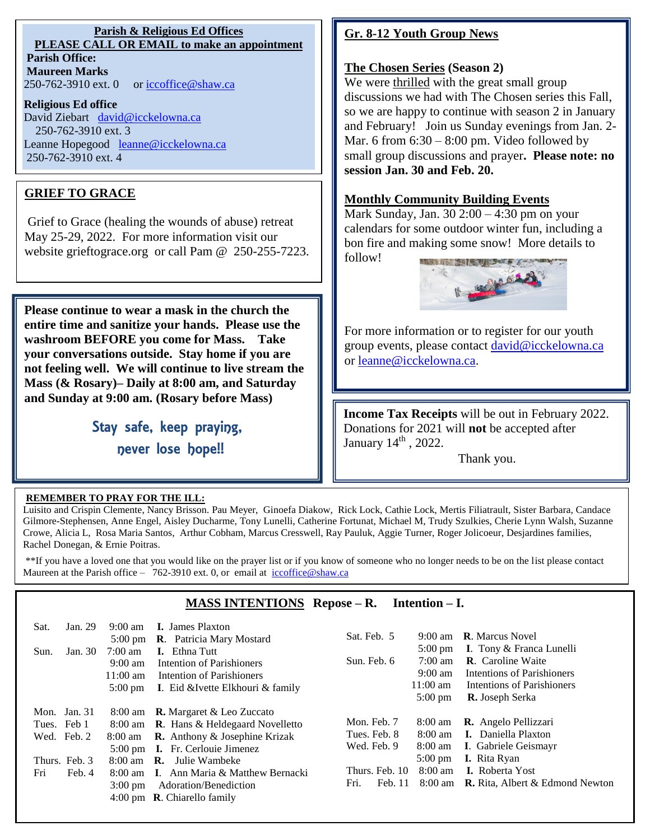#### **Parish & Religious Ed Offices PLEASE CALL OR EMAIL to make an appointment Parish Office:**

**Maureen Marks**  250-762-3910 ext. 0 or [iccoffice@shaw.ca](mailto:iccoffice@shaw.ca)

#### **Religious Ed office**

David Ziebart [david@icckelowna.ca](mailto:david@icckelowna.ca)  250-762-3910 ext. 3 Leanne Hopegood [leanne@icckelowna.ca](mailto:leanne@icckelowna.ca) 250-762-3910 ext. 4

## **GRIEF TO GRACE**

Grief to Grace (healing the wounds of abuse) retreat May 25-29, 2022. For more information visit our website grieftograce.org or call Pam @ 250-255-7223.

**Please continue to wear a mask in the church the entire time and sanitize your hands. Please use the washroom BEFORE you come for Mass. Take your conversations outside. Stay home if you are not feeling well. We will continue to live stream the Mass (& Rosary)– Daily at 8:00 am, and Saturday and Sunday at 9:00 am. (Rosary before Mass)**

> Stay safe, keep praying, never lose hope!!

## **Gr. 8-12 Youth Group News**

#### **The Chosen Series (Season 2)**

We were thrilled with the great small group discussions we had with The Chosen series this Fall, so we are happy to continue with season 2 in January and February! Join us Sunday evenings from Jan. 2- Mar. 6 from  $6:30 - 8:00$  pm. Video followed by small group discussions and prayer**. Please note: no session Jan. 30 and Feb. 20.**

### **Monthly Community Building Events**

Mark Sunday, Jan. 30 2:00 – 4:30 pm on your calendars for some outdoor winter fun, including a bon fire and making some snow! More details to follow!



For more information or to register for our youth group events, please contact [david@icckelowna.ca](mailto:david@icckelowna.ca) or [leanne@icckelowna.ca.](mailto:leanne@icckelowna.ca)

**Income Tax Receipts** will be out in February 2022. Donations for 2021 will **not** be accepted after January  $14<sup>th</sup>$ , 2022.

Thank you.

#### **REMEMBER TO PRAY FOR THE ILL:**

Ξ

İ

Luisito and Crispin Clemente, Nancy Brisson. Pau Meyer, Ginoefa Diakow, Rick Lock, Cathie Lock, Mertis Filiatrault, Sister Barbara, Candace Gilmore-Stephensen, Anne Engel, Aisley Ducharme, Tony Lunelli, Catherine Fortunat, Michael M, Trudy Szulkies, Cherie Lynn Walsh, Suzanne Crowe, Alicia L, Rosa Maria Santos, Arthur Cobham, Marcus Cresswell, Ray Pauluk, Aggie Turner, Roger Jolicoeur, Desjardines families, Rachel Donegan, & Ernie Poitras.

\*\*If you have a loved one that you would like on the prayer list or if you know of someone who no longer needs to be on the list please contact Maureen at the Parish office - 762-3910 ext. 0, or email at iccoffice@shaw.ca

### **MASS INTENTIONS Repose – R. Intention – I.**

| Sat.<br>Sun. | Jan. 29<br>Jan. 30                                                      | $9:00 \text{ am}$<br>$5:00 \text{ pm}$<br>$7:00 \text{ am}$<br>$9:00 \text{ am}$<br>$11:00 \text{ am}$<br>$5:00 \text{ pm}$ | <b>I.</b> James Plaxton<br><b>R.</b> Patricia Mary Mostard<br><b>I.</b> Ethna Tutt<br>Intention of Parishioners<br>Intention of Parishioners<br>I. Eid &Ivette Elkhouri & family                                                                                                                                                    | Sat. Feb. 5<br>Sun. Feb. 6                                                      | $9:00 \text{ am}$<br>$5:00 \text{ pm}$<br>$7:00 \text{ am}$<br>$9:00 \text{ am}$<br>$11:00 \text{ am}$<br>$5:00 \text{ pm}$ | <b>R</b> . Marcus Novel<br>I. Tony & Franca Lunelli<br><b>R.</b> Caroline Waite<br>Intentions of Parishioners<br>Intentions of Parishioners<br><b>R.</b> Joseph Serka                |
|--------------|-------------------------------------------------------------------------|-----------------------------------------------------------------------------------------------------------------------------|-------------------------------------------------------------------------------------------------------------------------------------------------------------------------------------------------------------------------------------------------------------------------------------------------------------------------------------|---------------------------------------------------------------------------------|-----------------------------------------------------------------------------------------------------------------------------|--------------------------------------------------------------------------------------------------------------------------------------------------------------------------------------|
| Fri          | Mon. Jan. $31$<br>Tues. Feb 1<br>Wed. Feb. 2<br>Thurs. Feb. 3<br>Feb. 4 | 8:00 am<br>8:00 am<br>$3:00 \text{ pm}$                                                                                     | <b>R.</b> Margaret & Leo Zuccato<br>8:00 am <b>R</b> . Hans & Heldegaard Novelletto<br><b>R.</b> Anthony $\&$ Josephine Krizak<br>5:00 pm <b>I.</b> Fr. Cerlouie Jimenez<br>$8:00$ am $\,$ <b>R</b> . Julie Wambeke<br>8:00 am I. Ann Maria & Matthew Bernacki<br>Adoration/Benediction<br>4:00 pm $\,$ <b>R</b> . Chiarello family | Mon. Feb. 7<br>Tues. Feb. 8<br>Wed. Feb. 9<br>Thurs. Feb. 10<br>Fri.<br>Feb. 11 | $8:00 \text{ am}$<br>$8:00 \text{ am}$<br>8:00 am<br>$5:00 \text{ pm}$<br>$8:00 \text{ am}$                                 | <b>R.</b> Angelo Pellizzari<br><b>I.</b> Daniella Plaxton<br>I. Gabriele Geismayr<br><b>I.</b> Rita Ryan<br><b>I.</b> Roberta Yost<br>8:00 am <b>R.</b> Rita, Albert & Edmond Newton |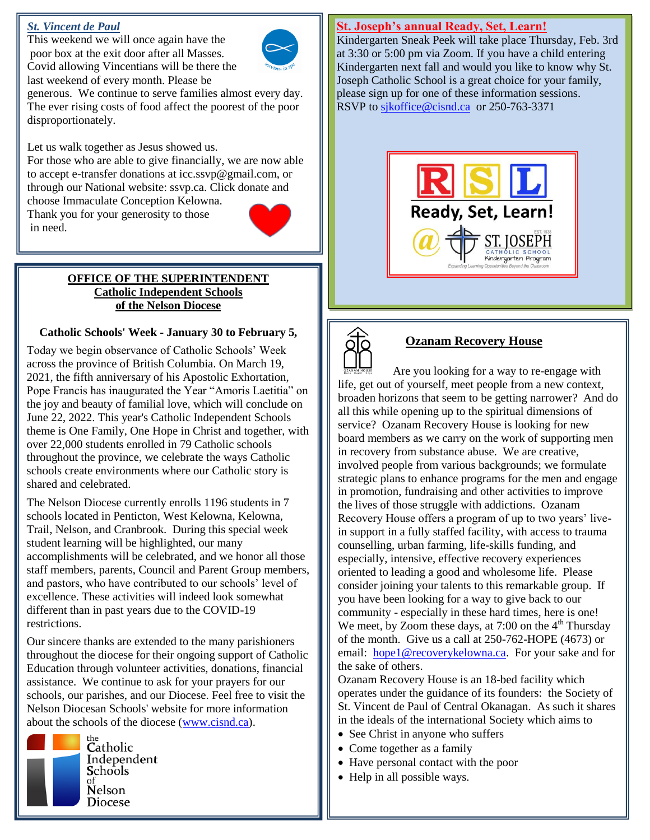#### *St. Vincent de Paul*

This weekend we will once again have the poor box at the exit door after all Masses. Covid allowing Vincentians will be there the last weekend of every month. Please be



generous. We continue to serve families almost every day. The ever rising costs of food affect the poorest of the poor disproportionately.

Let us walk together as Jesus showed us.

For those who are able to give financially, we are now able to accept e-transfer donations at icc.ssvp@gmail.com, or through our National website: ssvp.ca. Click donate and choose Immaculate Conception Kelowna.

Thank you for your generosity to those in need.



#### **OFFICE OF THE SUPERINTENDENT Catholic Independent Schools of the Nelson Diocese**

#### **Catholic Schools' Week - January 30 to February 5,**

Today we begin observance of Catholic Schools' Week across the province of British Columbia. On March 19, 2021, the fifth anniversary of his Apostolic Exhortation, Pope Francis has inaugurated the Year "Amoris Laetitia" on the joy and beauty of familial love, which will conclude on June 22, 2022. This year's Catholic Independent Schools theme is One Family, One Hope in Christ and together, with over 22,000 students enrolled in 79 Catholic schools throughout the province, we celebrate the ways Catholic schools create environments where our Catholic story is shared and celebrated.

The Nelson Diocese currently enrolls 1196 students in 7 schools located in Penticton, West Kelowna, Kelowna, Trail, Nelson, and Cranbrook. During this special week student learning will be highlighted, our many accomplishments will be celebrated, and we honor all those staff members, parents, Council and Parent Group members, and pastors, who have contributed to our schools' level of excellence. These activities will indeed look somewhat different than in past years due to the COVID-19 restrictions.

Our sincere thanks are extended to the many parishioners throughout the diocese for their ongoing support of Catholic Education through volunteer activities, donations, financial assistance. We continue to ask for your prayers for our schools, our parishes, and our Diocese. Feel free to visit the Nelson Diocesan Schools' website for more information about the schools of the diocese [\(www.cisnd.ca\)](http://www.cisnd.ca/).



Catholic Independent Schools Nelson **Diocese** 

#### **St. Joseph's annual Ready, Set, Learn!**

Kindergarten Sneak Peek will take place Thursday, Feb. 3rd at 3:30 or 5:00 pm via Zoom. If you have a child entering Kindergarten next fall and would you like to know why St. Joseph Catholic School is a great choice for your family, please sign up for one of these information sessions. RSVP to sikoffice@cisnd.ca or 250-763-3371





## **Ozanam Recovery House**

 Are you looking for a way to re-engage with life, get out of yourself, meet people from a new context, broaden horizons that seem to be getting narrower? And do all this while opening up to the spiritual dimensions of service? Ozanam Recovery House is looking for new board members as we carry on the work of supporting men in recovery from substance abuse. We are creative, involved people from various backgrounds; we formulate strategic plans to enhance programs for the men and engage in promotion, fundraising and other activities to improve the lives of those struggle with addictions. Ozanam Recovery House offers a program of up to two years' livein support in a fully staffed facility, with access to trauma counselling, urban farming, life-skills funding, and especially, intensive, effective recovery experiences oriented to leading a good and wholesome life. Please consider joining your talents to this remarkable group. If you have been looking for a way to give back to our community - especially in these hard times, here is one! We meet, by Zoom these days, at  $7:00$  on the  $4<sup>th</sup>$  Thursday of the month. Give us a call at 250-762-HOPE (4673) or email: [hope1@recoverykelowna.ca.](mailto:hope1@recoverykelowna.ca) For your sake and for the sake of others.

Ozanam Recovery House is an 18-bed facility which operates under the guidance of its founders: the Society of St. Vincent de Paul of Central Okanagan. As such it shares in the ideals of the international Society which aims to

- See Christ in anyone who suffers
- Come together as a family
- Have personal contact with the poor
- Help in all possible ways.

**HELD**